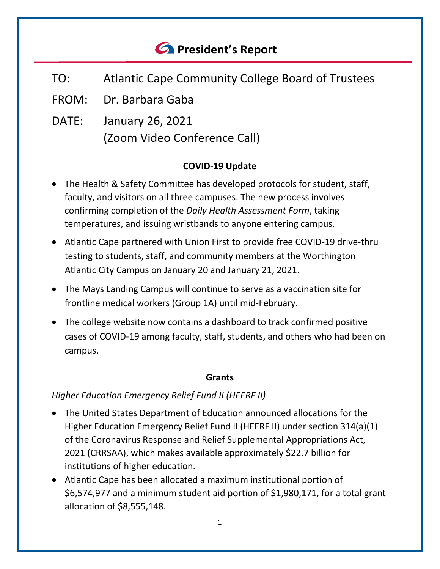# *<u>A</u>* President's Report

- TO: Atlantic Cape Community College Board of Trustees
- FROM: Dr. Barbara Gaba
- DATE: January 26, 2021 (Zoom Video Conference Call)

## **COVID-19 Update**

- The Health & Safety Committee has developed protocols for student, staff, faculty, and visitors on all three campuses. The new process involves confirming completion of the *Daily Health Assessment Form*, taking temperatures, and issuing wristbands to anyone entering campus.
- Atlantic Cape partnered with Union First to provide free COVID-19 drive-thru testing to students, staff, and community members at the Worthington Atlantic City Campus on January 20 and January 21, 2021.
- The Mays Landing Campus will continue to serve as a vaccination site for frontline medical workers (Group 1A) until mid-February.
- The college website now contains a dashboard to track confirmed positive cases of COVID-19 among faculty, staff, students, and others who had been on campus.

#### **Grants**

## *Higher Education Emergency Relief Fund II (HEERF II)*

- The United States Department of Education announced allocations for the Higher Education Emergency Relief Fund II (HEERF II) under section 314(a)(1) of the Coronavirus Response and Relief Supplemental Appropriations Act, 2021 (CRRSAA), which makes available approximately \$22.7 billion for institutions of higher education.
- Atlantic Cape has been allocated a maximum institutional portion of \$6,574,977 and a minimum student aid portion of \$1,980,171, for a total grant allocation of \$8,555,148.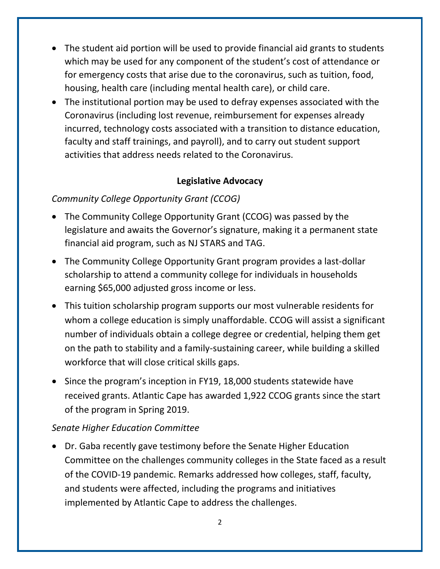- The student aid portion will be used to provide financial aid grants to students which may be used for any component of the student's cost of attendance or for emergency costs that arise due to the coronavirus, such as tuition, food, housing, health care (including mental health care), or child care.
- The institutional portion may be used to defray expenses associated with the Coronavirus (including lost revenue, reimbursement for expenses already incurred, technology costs associated with a transition to distance education, faculty and staff trainings, and payroll), and to carry out student support activities that address needs related to the Coronavirus.

#### **Legislative Advocacy**

#### *Community College Opportunity Grant (CCOG)*

- The Community College Opportunity Grant (CCOG) was passed by the legislature and awaits the Governor's signature, making it a permanent state financial aid program, such as NJ STARS and TAG.
- The Community College Opportunity Grant program provides a last-dollar scholarship to attend a community college for individuals in households earning \$65,000 adjusted gross income or less.
- This tuition scholarship program supports our most vulnerable residents for whom a college education is simply unaffordable. CCOG will assist a significant number of individuals obtain a college degree or credential, helping them get on the path to stability and a family-sustaining career, while building a skilled workforce that will close critical skills gaps.
- Since the program's inception in FY19, 18,000 students statewide have received grants. Atlantic Cape has awarded 1,922 CCOG grants since the start of the program in Spring 2019.

#### *Senate Higher Education Committee*

• Dr. Gaba recently gave testimony before the Senate Higher Education Committee on the challenges community colleges in the State faced as a result of the COVID-19 pandemic. Remarks addressed how colleges, staff, faculty, and students were affected, including the programs and initiatives implemented by Atlantic Cape to address the challenges.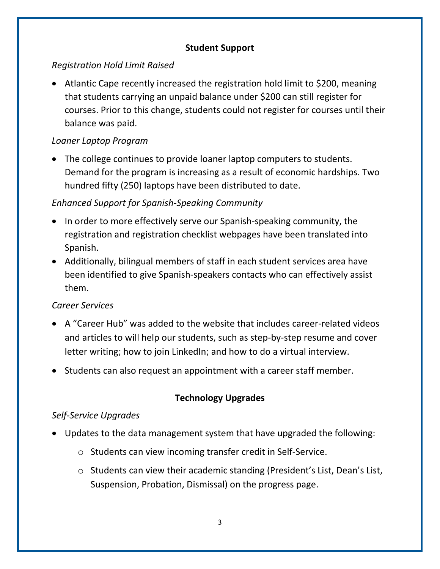## **Student Support**

# *Registration Hold Limit Raised*

• Atlantic Cape recently increased the registration hold limit to \$200, meaning that students carrying an unpaid balance under \$200 can still register for courses. Prior to this change, students could not register for courses until their balance was paid.

## *Loaner Laptop Program*

• The college continues to provide loaner laptop computers to students. Demand for the program is increasing as a result of economic hardships. Two hundred fifty (250) laptops have been distributed to date.

# *Enhanced Support for Spanish-Speaking Community*

- In order to more effectively serve our Spanish-speaking community, the registration and registration checklist webpages have been translated into Spanish.
- Additionally, bilingual members of staff in each student services area have been identified to give Spanish-speakers contacts who can effectively assist them.

# *Career Services*

- A "Career Hub" was added to the website that includes career-related videos and articles to will help our students, such as step-by-step resume and cover letter writing; how to join LinkedIn; and how to do a virtual interview.
- Students can also request an appointment with a career staff member.

# **Technology Upgrades**

# *Self-Service Upgrades*

- Updates to the data management system that have upgraded the following:
	- o Students can view incoming transfer credit in Self-Service.
	- o Students can view their academic standing (President's List, Dean's List, Suspension, Probation, Dismissal) on the progress page.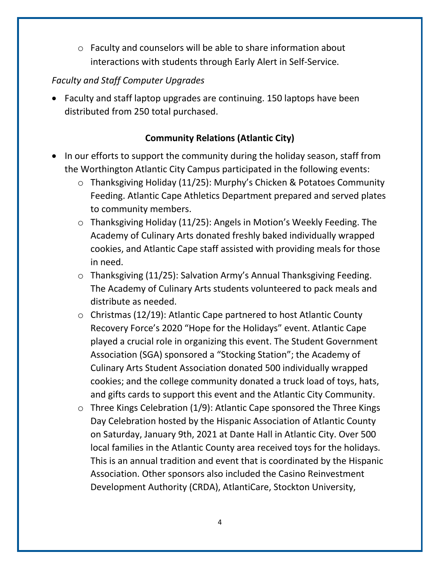o Faculty and counselors will be able to share information about interactions with students through Early Alert in Self-Service.

# *Faculty and Staff Computer Upgrades*

• Faculty and staff laptop upgrades are continuing. 150 laptops have been distributed from 250 total purchased.

# **Community Relations (Atlantic City)**

- In our efforts to support the community during the holiday season, staff from the Worthington Atlantic City Campus participated in the following events:
	- o Thanksgiving Holiday (11/25): Murphy's Chicken & Potatoes Community Feeding. Atlantic Cape Athletics Department prepared and served plates to community members.
	- o Thanksgiving Holiday (11/25): Angels in Motion's Weekly Feeding. The Academy of Culinary Arts donated freshly baked individually wrapped cookies, and Atlantic Cape staff assisted with providing meals for those in need.
	- o Thanksgiving (11/25): Salvation Army's Annual Thanksgiving Feeding. The Academy of Culinary Arts students volunteered to pack meals and distribute as needed.
	- $\circ$  Christmas (12/19): Atlantic Cape partnered to host Atlantic County Recovery Force's 2020 "Hope for the Holidays" event. Atlantic Cape played a crucial role in organizing this event. The Student Government Association (SGA) sponsored a "Stocking Station"; the Academy of Culinary Arts Student Association donated 500 individually wrapped cookies; and the college community donated a truck load of toys, hats, and gifts cards to support this event and the Atlantic City Community.
	- $\circ$  Three Kings Celebration (1/9): Atlantic Cape sponsored the Three Kings Day Celebration hosted by the Hispanic Association of Atlantic County on Saturday, January 9th, 2021 at Dante Hall in Atlantic City. Over 500 local families in the Atlantic County area received toys for the holidays. This is an annual tradition and event that is coordinated by the Hispanic Association. Other sponsors also included the Casino Reinvestment Development Authority (CRDA), AtlantiCare, Stockton University,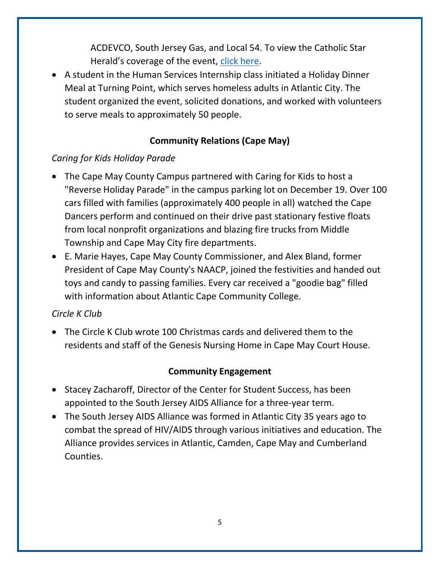ACDEVCO, South Jersey Gas, and Local 54. To view the Catholic Star Herald's coverage of the event, [click here.](https://www.youtube.com/watch?fbclid=IwAR1uNDINVKDM4l1ZSchHDrMniuQTFGqATDSgY1Ydk3HO4hOtQPS3ZjyQeI8&v=5i3upqdT7K8&feature=youtu.be)

• A student in the Human Services Internship class initiated a Holiday Dinner Meal at Turning Point, which serves homeless adults in Atlantic City. The student organized the event, solicited donations, and worked with volunteers to serve meals to approximately 50 people.

# **Community Relations (Cape May)**

# *Caring for Kids Holiday Parade*

- The Cape May County Campus partnered with Caring for Kids to host a "Reverse Holiday Parade" in the campus parking lot on December 19. Over 100 cars filled with families (approximately 400 people in all) watched the Cape Dancers perform and continued on their drive past stationary festive floats from local nonprofit organizations and blazing fire trucks from Middle Township and Cape May City fire departments.
- E. Marie Hayes, Cape May County Commissioner, and Alex Bland, former President of Cape May County's NAACP, joined the festivities and handed out toys and candy to passing families. Every car received a "goodie bag" filled with information about Atlantic Cape Community College.

## *Circle K Club*

• The Circle K Club wrote 100 Christmas cards and delivered them to the residents and staff of the Genesis Nursing Home in Cape May Court House.

## **Community Engagement**

- Stacey Zacharoff, Director of the Center for Student Success, has been appointed to the South Jersey AIDS Alliance for a three-year term.
- The South Jersey AIDS Alliance was formed in Atlantic City 35 years ago to combat the spread of HIV/AIDS through various initiatives and education. The Alliance provides services in Atlantic, Camden, Cape May and Cumberland Counties.